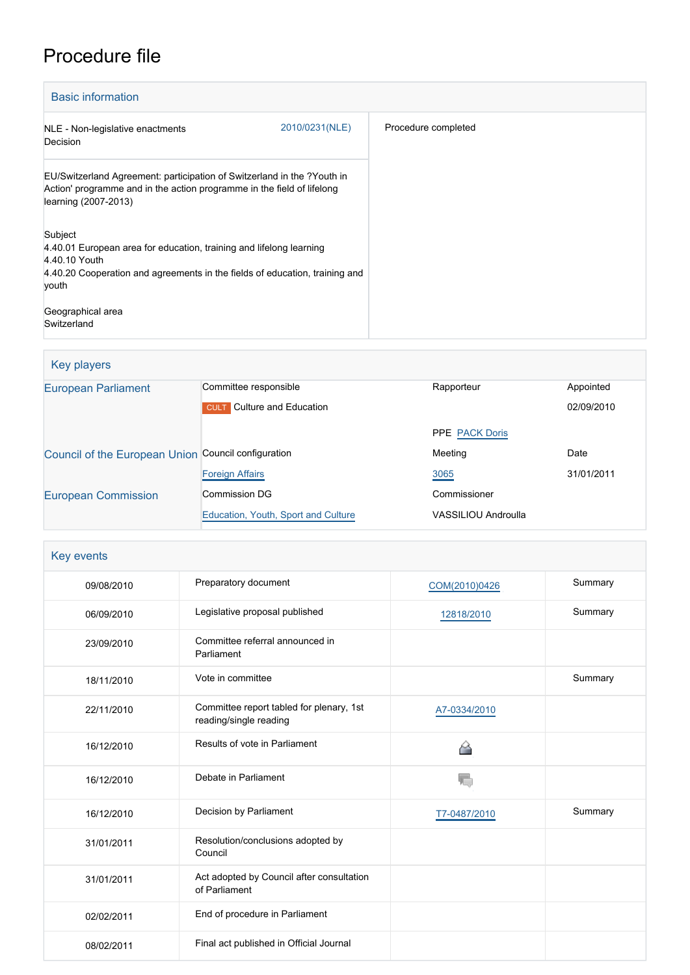# Procedure file

| <b>Basic information</b>                                                                                                                                                                |                |                     |
|-----------------------------------------------------------------------------------------------------------------------------------------------------------------------------------------|----------------|---------------------|
| NLE - Non-legislative enactments<br>Decision                                                                                                                                            | 2010/0231(NLE) | Procedure completed |
| EU/Switzerland Agreement: participation of Switzerland in the ?Youth in<br>Action' programme and in the action programme in the field of lifelong<br>learning (2007-2013)               |                |                     |
| Subject<br>4.40.01 European area for education, training and lifelong learning<br>4.40.10 Youth<br>4.40.20 Cooperation and agreements in the fields of education, training and<br>youth |                |                     |
| Geographical area<br>Switzerland                                                                                                                                                        |                |                     |

| Key players                                         |                                     |                       |            |
|-----------------------------------------------------|-------------------------------------|-----------------------|------------|
| <b>European Parliament</b>                          | Committee responsible               | Rapporteur            | Appointed  |
|                                                     | <b>CULT</b> Culture and Education   |                       | 02/09/2010 |
|                                                     |                                     | <b>PPE PACK Doris</b> |            |
| Council of the European Union Council configuration |                                     | Meeting               | Date       |
|                                                     | <b>Foreign Affairs</b>              | 3065                  | 31/01/2011 |
| <b>European Commission</b>                          | Commission DG                       | Commissioner          |            |
|                                                     | Education, Youth, Sport and Culture | VASSILIOU Androulla   |            |

| Key events |                                                                    |               |         |
|------------|--------------------------------------------------------------------|---------------|---------|
| 09/08/2010 | Preparatory document                                               | COM(2010)0426 | Summary |
| 06/09/2010 | Legislative proposal published                                     | 12818/2010    | Summary |
| 23/09/2010 | Committee referral announced in<br>Parliament                      |               |         |
| 18/11/2010 | Vote in committee                                                  |               | Summary |
| 22/11/2010 | Committee report tabled for plenary, 1st<br>reading/single reading | A7-0334/2010  |         |
| 16/12/2010 | Results of vote in Parliament                                      | A             |         |
| 16/12/2010 | Debate in Parliament                                               |               |         |
| 16/12/2010 | Decision by Parliament                                             | T7-0487/2010  | Summary |
| 31/01/2011 | Resolution/conclusions adopted by<br>Council                       |               |         |
| 31/01/2011 | Act adopted by Council after consultation<br>of Parliament         |               |         |
| 02/02/2011 | End of procedure in Parliament                                     |               |         |
| 08/02/2011 | Final act published in Official Journal                            |               |         |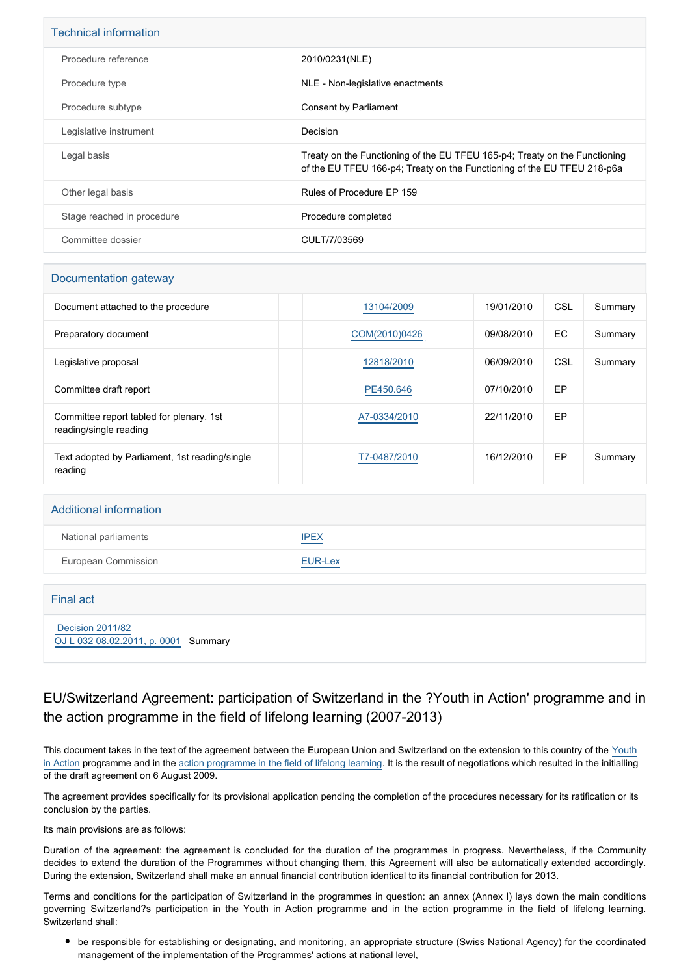| <b>Technical information</b> |                                                                                                                                                       |
|------------------------------|-------------------------------------------------------------------------------------------------------------------------------------------------------|
| Procedure reference          | 2010/0231(NLE)                                                                                                                                        |
| Procedure type               | NLE - Non-legislative enactments                                                                                                                      |
| Procedure subtype            | Consent by Parliament                                                                                                                                 |
| Legislative instrument       | Decision                                                                                                                                              |
| Legal basis                  | Treaty on the Functioning of the EU TFEU 165-p4; Treaty on the Functioning<br>of the EU TFEU 166-p4; Treaty on the Functioning of the EU TFEU 218-p6a |
| Other legal basis            | Rules of Procedure EP 159                                                                                                                             |
| Stage reached in procedure   | Procedure completed                                                                                                                                   |
| Committee dossier            | CULT/7/03569                                                                                                                                          |

#### Documentation gateway

| Document attached to the procedure                                 | 13104/2009    | 19/01/2010 | CSL | Summary |
|--------------------------------------------------------------------|---------------|------------|-----|---------|
| Preparatory document                                               | COM(2010)0426 | 09/08/2010 | EC  | Summary |
| Legislative proposal                                               | 12818/2010    | 06/09/2010 | CSL | Summary |
| Committee draft report                                             | PE450.646     | 07/10/2010 | EP  |         |
| Committee report tabled for plenary, 1st<br>reading/single reading | A7-0334/2010  | 22/11/2010 | EP  |         |
| Text adopted by Parliament, 1st reading/single<br>reading          | T7-0487/2010  | 16/12/2010 | EP  | Summary |

| <b>Additional information</b> |             |
|-------------------------------|-------------|
| National parliaments          | <b>IPEX</b> |
| European Commission           | EUR-Lex     |
|                               |             |

 [Decision 2011/82](https://eur-lex.europa.eu/smartapi/cgi/sga_doc?smartapi!celexplus!prod!CELEXnumdoc&lg=EN&numdoc=32011D0082)

Final act

[OJ L 032 08.02.2011, p. 0001](https://eur-lex.europa.eu/legal-content/EN/TXT/?uri=OJ:L:2011:032:TOC) Summary

### EU/Switzerland Agreement: participation of Switzerland in the ?Youth in Action' programme and in the action programme in the field of lifelong learning (2007-2013)

This document takes in the text of the agreement between the European Union and Switzerland on the extension to this country of the [Youth](http://www.europarl.europa.eu/oeil/FindByProcnum.do?lang=en&procnum=COD/2004/0152) [in Action](http://www.europarl.europa.eu/oeil/FindByProcnum.do?lang=en&procnum=COD/2004/0152) programme and in the [action programme in the field of lifelong learning](http://www.europarl.europa.eu/oeil/FindByProcnum.do?lang=en&procnum=COD/2004/0153). It is the result of negotiations which resulted in the initialling of the draft agreement on 6 August 2009.

The agreement provides specifically for its provisional application pending the completion of the procedures necessary for its ratification or its conclusion by the parties.

Its main provisions are as follows:

Duration of the agreement: the agreement is concluded for the duration of the programmes in progress. Nevertheless, if the Community decides to extend the duration of the Programmes without changing them, this Agreement will also be automatically extended accordingly. During the extension, Switzerland shall make an annual financial contribution identical to its financial contribution for 2013.

Terms and conditions for the participation of Switzerland in the programmes in question: an annex (Annex I) lays down the main conditions governing Switzerland?s participation in the Youth in Action programme and in the action programme in the field of lifelong learning. Switzerland shall:

be responsible for establishing or designating, and monitoring, an appropriate structure (Swiss National Agency) for the coordinated management of the implementation of the Programmes' actions at national level,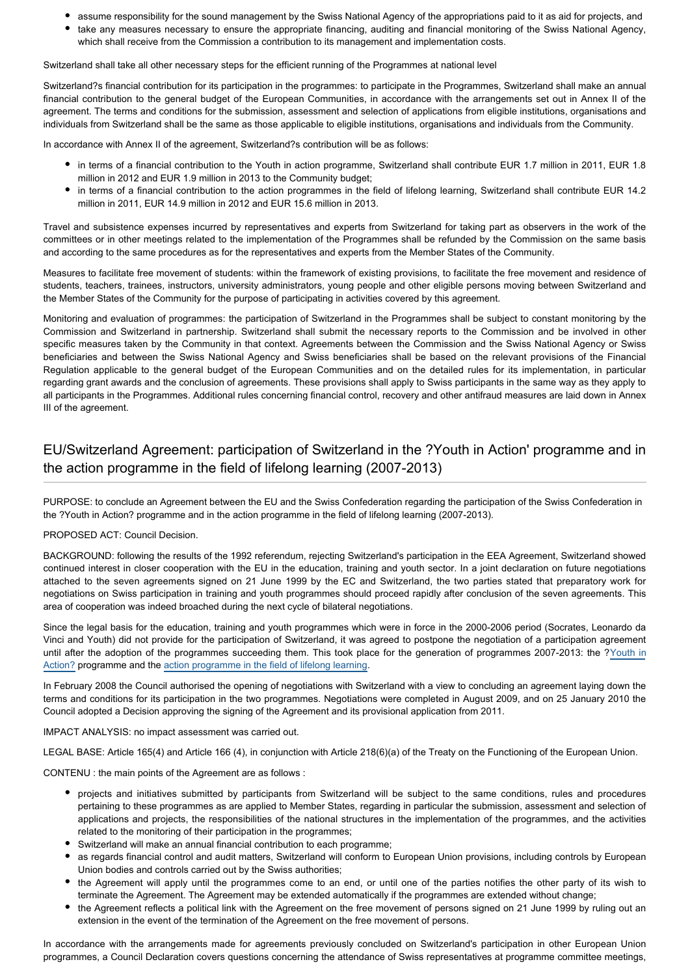- assume responsibility for the sound management by the Swiss National Agency of the appropriations paid to it as aid for projects, and
- take any measures necessary to ensure the appropriate financing, auditing and financial monitoring of the Swiss National Agency, which shall receive from the Commission a contribution to its management and implementation costs.

Switzerland shall take all other necessary steps for the efficient running of the Programmes at national level

Switzerland?s financial contribution for its participation in the programmes: to participate in the Programmes, Switzerland shall make an annual financial contribution to the general budget of the European Communities, in accordance with the arrangements set out in Annex II of the agreement. The terms and conditions for the submission, assessment and selection of applications from eligible institutions, organisations and individuals from Switzerland shall be the same as those applicable to eligible institutions, organisations and individuals from the Community.

In accordance with Annex II of the agreement, Switzerland?s contribution will be as follows:

- in terms of a financial contribution to the Youth in action programme, Switzerland shall contribute EUR 1.7 million in 2011, EUR 1.8 million in 2012 and EUR 1.9 million in 2013 to the Community budget;
- in terms of a financial contribution to the action programmes in the field of lifelong learning, Switzerland shall contribute EUR 14.2 million in 2011, EUR 14.9 million in 2012 and EUR 15.6 million in 2013.

Travel and subsistence expenses incurred by representatives and experts from Switzerland for taking part as observers in the work of the committees or in other meetings related to the implementation of the Programmes shall be refunded by the Commission on the same basis and according to the same procedures as for the representatives and experts from the Member States of the Community.

Measures to facilitate free movement of students: within the framework of existing provisions, to facilitate the free movement and residence of students, teachers, trainees, instructors, university administrators, young people and other eligible persons moving between Switzerland and the Member States of the Community for the purpose of participating in activities covered by this agreement.

Monitoring and evaluation of programmes: the participation of Switzerland in the Programmes shall be subject to constant monitoring by the Commission and Switzerland in partnership. Switzerland shall submit the necessary reports to the Commission and be involved in other specific measures taken by the Community in that context. Agreements between the Commission and the Swiss National Agency or Swiss beneficiaries and between the Swiss National Agency and Swiss beneficiaries shall be based on the relevant provisions of the Financial Regulation applicable to the general budget of the European Communities and on the detailed rules for its implementation, in particular regarding grant awards and the conclusion of agreements. These provisions shall apply to Swiss participants in the same way as they apply to all participants in the Programmes. Additional rules concerning financial control, recovery and other antifraud measures are laid down in Annex III of the agreement.

# EU/Switzerland Agreement: participation of Switzerland in the ?Youth in Action' programme and in the action programme in the field of lifelong learning (2007-2013)

PURPOSE: to conclude an Agreement between the EU and the Swiss Confederation regarding the participation of the Swiss Confederation in the ?Youth in Action? programme and in the action programme in the field of lifelong learning (2007-2013).

#### PROPOSED ACT: Council Decision.

BACKGROUND: following the results of the 1992 referendum, rejecting Switzerland's participation in the EEA Agreement, Switzerland showed continued interest in closer cooperation with the EU in the education, training and youth sector. In a joint declaration on future negotiations attached to the seven agreements signed on 21 June 1999 by the EC and Switzerland, the two parties stated that preparatory work for negotiations on Swiss participation in training and youth programmes should proceed rapidly after conclusion of the seven agreements. This area of cooperation was indeed broached during the next cycle of bilateral negotiations.

Since the legal basis for the education, training and youth programmes which were in force in the 2000-2006 period (Socrates, Leonardo da Vinci and Youth) did not provide for the participation of Switzerland, it was agreed to postpone the negotiation of a participation agreement until after the adoption of the programmes succeeding them. This took place for the generation of programmes 2007-2013: the [?Youth in](http://www.europarl.europa.eu/oeil/FindByProcnum.do?lang=en&procnum=COD/2004/0152) [Action?](http://www.europarl.europa.eu/oeil/FindByProcnum.do?lang=en&procnum=COD/2004/0152) programme and the [action programme in the field of lifelong learning](http://www.europarl.europa.eu/oeil/FindByProcnum.do?lang=en&procnum=COD/2004/0153).

In February 2008 the Council authorised the opening of negotiations with Switzerland with a view to concluding an agreement laying down the terms and conditions for its participation in the two programmes. Negotiations were completed in August 2009, and on 25 January 2010 the Council adopted a Decision approving the signing of the Agreement and its provisional application from 2011.

IMPACT ANALYSIS: no impact assessment was carried out.

LEGAL BASE: Article 165(4) and Article 166 (4), in conjunction with Article 218(6)(a) of the Treaty on the Functioning of the European Union.

CONTENU : the main points of the Agreement are as follows :

- projects and initiatives submitted by participants from Switzerland will be subject to the same conditions, rules and procedures pertaining to these programmes as are applied to Member States, regarding in particular the submission, assessment and selection of applications and projects, the responsibilities of the national structures in the implementation of the programmes, and the activities related to the monitoring of their participation in the programmes;
- Switzerland will make an annual financial contribution to each programme;
- as regards financial control and audit matters, Switzerland will conform to European Union provisions, including controls by European Union bodies and controls carried out by the Swiss authorities;
- the Agreement will apply until the programmes come to an end, or until one of the parties notifies the other party of its wish to terminate the Agreement. The Agreement may be extended automatically if the programmes are extended without change;
- the Agreement reflects a political link with the Agreement on the free movement of persons signed on 21 June 1999 by ruling out an extension in the event of the termination of the Agreement on the free movement of persons.

In accordance with the arrangements made for agreements previously concluded on Switzerland's participation in other European Union programmes, a Council Declaration covers questions concerning the attendance of Swiss representatives at programme committee meetings,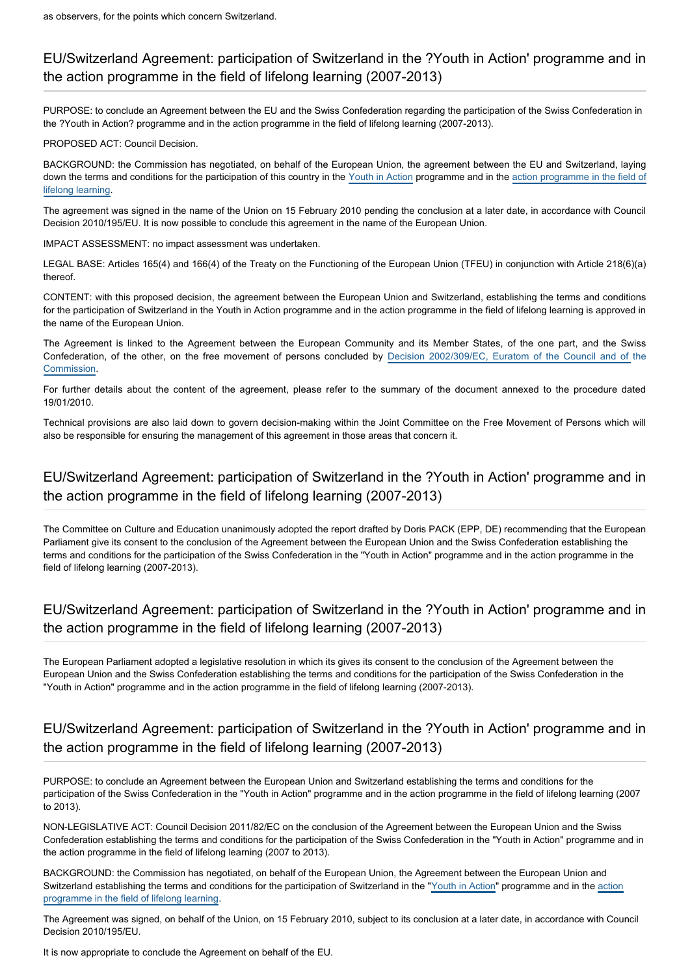### EU/Switzerland Agreement: participation of Switzerland in the ?Youth in Action' programme and in the action programme in the field of lifelong learning (2007-2013)

PURPOSE: to conclude an Agreement between the EU and the Swiss Confederation regarding the participation of the Swiss Confederation in the ?Youth in Action? programme and in the action programme in the field of lifelong learning (2007-2013).

PROPOSED ACT: Council Decision.

BACKGROUND: the Commission has negotiated, on behalf of the European Union, the agreement between the EU and Switzerland, laying down the terms and conditions for the participation of this country in the [Youth in Action](http://www.europarl.europa.eu/oeil/FindByProcnum.do?lang=en&procnum=COD/2004/0152) programme and in the [action programme in the field of](http://www.europarl.europa.eu/oeil/FindByProcnum.do?lang=en&procnum=COD/2004/0153) [lifelong learning](http://www.europarl.europa.eu/oeil/FindByProcnum.do?lang=en&procnum=COD/2004/0153).

The agreement was signed in the name of the Union on 15 February 2010 pending the conclusion at a later date, in accordance with Council Decision 2010/195/EU. It is now possible to conclude this agreement in the name of the European Union.

IMPACT ASSESSMENT: no impact assessment was undertaken.

LEGAL BASE: Articles 165(4) and 166(4) of the Treaty on the Functioning of the European Union (TFEU) in conjunction with Article 218(6)(a) thereof.

CONTENT: with this proposed decision, the agreement between the European Union and Switzerland, establishing the terms and conditions for the participation of Switzerland in the Youth in Action programme and in the action programme in the field of lifelong learning is approved in the name of the European Union.

The Agreement is linked to the Agreement between the European Community and its Member States, of the one part, and the Swiss Confederation, of the other, on the free movement of persons concluded by [Decision 2002/309/EC, Euratom of the Council and of](http://eur-lex.europa.eu/LexUriServ/LexUriServ.do?uri=CELEX:32002D0309:EN:HTML) the [Commission.](http://eur-lex.europa.eu/LexUriServ/LexUriServ.do?uri=CELEX:32002D0309:EN:HTML)

For further details about the content of the agreement, please refer to the summary of the document annexed to the procedure dated 19/01/2010.

Technical provisions are also laid down to govern decision-making within the Joint Committee on the Free Movement of Persons which will also be responsible for ensuring the management of this agreement in those areas that concern it.

# EU/Switzerland Agreement: participation of Switzerland in the ?Youth in Action' programme and in the action programme in the field of lifelong learning (2007-2013)

The Committee on Culture and Education unanimously adopted the report drafted by Doris PACK (EPP, DE) recommending that the European Parliament give its consent to the conclusion of the Agreement between the European Union and the Swiss Confederation establishing the terms and conditions for the participation of the Swiss Confederation in the "Youth in Action" programme and in the action programme in the field of lifelong learning (2007-2013).

### EU/Switzerland Agreement: participation of Switzerland in the ?Youth in Action' programme and in the action programme in the field of lifelong learning (2007-2013)

The European Parliament adopted a legislative resolution in which its gives its consent to the conclusion of the Agreement between the European Union and the Swiss Confederation establishing the terms and conditions for the participation of the Swiss Confederation in the "Youth in Action" programme and in the action programme in the field of lifelong learning (2007-2013).

### EU/Switzerland Agreement: participation of Switzerland in the ?Youth in Action' programme and in the action programme in the field of lifelong learning (2007-2013)

PURPOSE: to conclude an Agreement between the European Union and Switzerland establishing the terms and conditions for the participation of the Swiss Confederation in the "Youth in Action" programme and in the action programme in the field of lifelong learning (2007 to 2013).

NON-LEGISLATIVE ACT: Council Decision 2011/82/EC on the conclusion of the Agreement between the European Union and the Swiss Confederation establishing the terms and conditions for the participation of the Swiss Confederation in the "Youth in Action" programme and in the action programme in the field of lifelong learning (2007 to 2013).

BACKGROUND: the Commission has negotiated, on behalf of the European Union, the Agreement between the European Union and Switzerland establishing the terms and conditions for the participation of Switzerland in the ["Youth in Action"](http://www.europarl.europa.eu/oeil/FindByProcnum.do?lang=en&procnum=COD/2004/0152) programme and in the [action](http://www.europarl.europa.eu/oeil/FindByProcnum.do?lang=en&procnum=COD/2004/0153) [programme in the field of lifelong learning.](http://www.europarl.europa.eu/oeil/FindByProcnum.do?lang=en&procnum=COD/2004/0153)

The Agreement was signed, on behalf of the Union, on 15 February 2010, subject to its conclusion at a later date, in accordance with Council Decision 2010/195/EU.

It is now appropriate to conclude the Agreement on behalf of the EU.